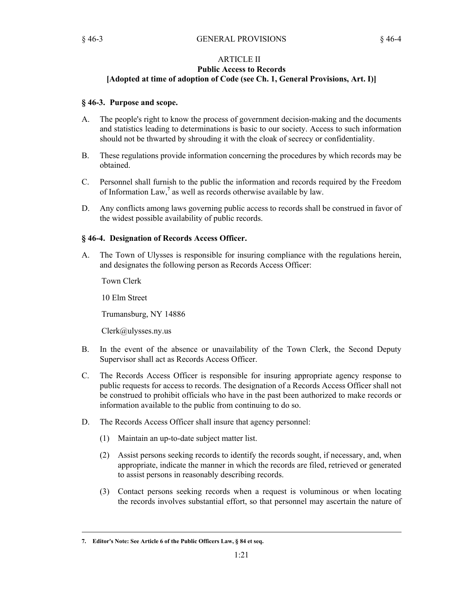## ARTICLE II **Public Access to Records [Adopted at time of adoption of Code (see Ch. 1, General Provisions, Art. I)]**

## **§ 46-3. Purpose and scope.**

- The people's right to know the process of government decision-making and the documents and statistics leading to determinations is basic to our society. Access to such information should not be thwarted by shrouding it with the cloak of secrecy or confidentiality. A.
- These regulations provide information concerning the procedures by which records may be obtained. B.
- Personnel shall furnish to the public the information and records required by the Freedom of Information Law,**<sup>7</sup>** as well as records otherwise available by law. C.
- Any conflicts among laws governing public access to records shall be construed in favor of the widest possible availability of public records. D.

#### **§ 46-4. Designation of Records Access Officer.**

The Town of Ulysses is responsible for insuring compliance with the regulations herein, and designates the following person as Records Access Officer: A.

Town Clerk

10 Elm Street

Trumansburg, NY 14886

Clerk@ulysses.ny.us

- In the event of the absence or unavailability of the Town Clerk, the Second Deputy Supervisor shall act as Records Access Officer. B.
- The Records Access Officer is responsible for insuring appropriate agency response to public requests for access to records. The designation of a Records Access Officer shall not be construed to prohibit officials who have in the past been authorized to make records or information available to the public from continuing to do so. C.
- The Records Access Officer shall insure that agency personnel: D.
	- (1) Maintain an up-to-date subject matter list.
	- Assist persons seeking records to identify the records sought, if necessary, and, when (2) appropriate, indicate the manner in which the records are filed, retrieved or generated to assist persons in reasonably describing records.
	- Contact persons seeking records when a request is voluminous or when locating (3) the records involves substantial effort, so that personnel may ascertain the nature of

**<sup>7.</sup> Editor's Note: See Article 6 of the Public Officers Law, § 84 et seq.**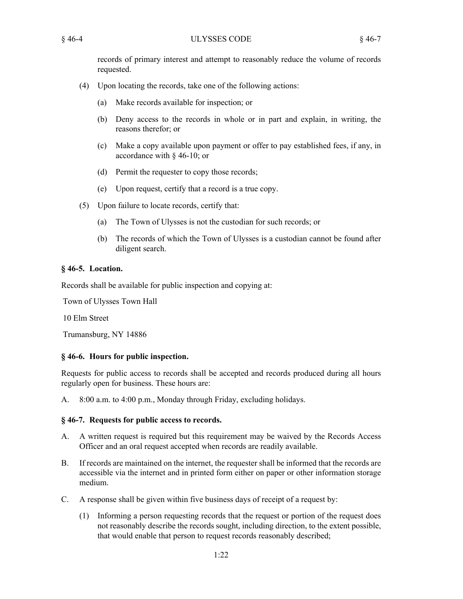records of primary interest and attempt to reasonably reduce the volume of records requested.

- Upon locating the records, take one of the following actions: (4)
	- (a) Make records available for inspection; or
	- Deny access to the records in whole or in part and explain, in writing, the (b) reasons therefor; or
	- Make a copy available upon payment or offer to pay established fees, if any, in (c) accordance with § 46-10; or
	- (d) Permit the requester to copy those records;
	- (e) Upon request, certify that a record is a true copy.
- Upon failure to locate records, certify that: (5)
	- (a) The Town of Ulysses is not the custodian for such records; or
	- (b) The records of which the Town of Ulysses is a custodian cannot be found after diligent search.

## **§ 46-5. Location.**

Records shall be available for public inspection and copying at:

Town of Ulysses Town Hall

10 Elm Street

Trumansburg, NY 14886

# **§ 46-6. Hours for public inspection.**

Requests for public access to records shall be accepted and records produced during all hours regularly open for business. These hours are:

A. 8:00 a.m. to 4:00 p.m., Monday through Friday, excluding holidays.

# **§ 46-7. Requests for public access to records.**

- A written request is required but this requirement may be waived by the Records Access Officer and an oral request accepted when records are readily available.  $A<sub>1</sub>$
- If records are maintained on the internet, the requester shall be informed that the records are accessible via the internet and in printed form either on paper or other information storage medium. B.
- A response shall be given within five business days of receipt of a request by: C.
	- Informing a person requesting records that the request or portion of the request does (1) not reasonably describe the records sought, including direction, to the extent possible, that would enable that person to request records reasonably described;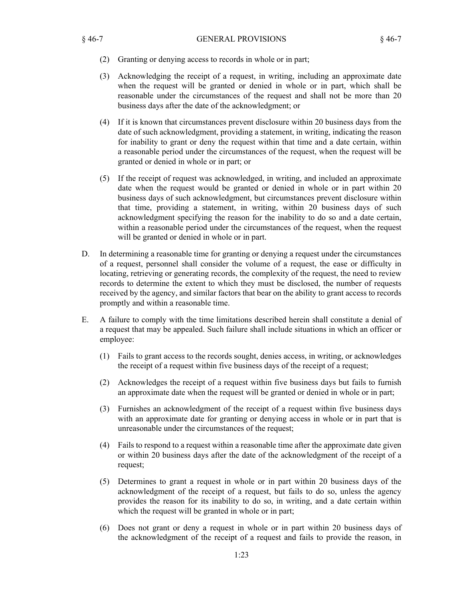- (2) Granting or denying access to records in whole or in part;
- Acknowledging the receipt of a request, in writing, including an approximate date (3) when the request will be granted or denied in whole or in part, which shall be reasonable under the circumstances of the request and shall not be more than 20 business days after the date of the acknowledgment; or
- If it is known that circumstances prevent disclosure within 20 business days from the (4) date of such acknowledgment, providing a statement, in writing, indicating the reason for inability to grant or deny the request within that time and a date certain, within a reasonable period under the circumstances of the request, when the request will be granted or denied in whole or in part; or
- (5) If the receipt of request was acknowledged, in writing, and included an approximate date when the request would be granted or denied in whole or in part within 20 business days of such acknowledgment, but circumstances prevent disclosure within that time, providing a statement, in writing, within 20 business days of such acknowledgment specifying the reason for the inability to do so and a date certain, within a reasonable period under the circumstances of the request, when the request will be granted or denied in whole or in part.
- In determining a reasonable time for granting or denying a request under the circumstances of a request, personnel shall consider the volume of a request, the ease or difficulty in locating, retrieving or generating records, the complexity of the request, the need to review records to determine the extent to which they must be disclosed, the number of requests received by the agency, and similar factors that bear on the ability to grant access to records promptly and within a reasonable time. D.
- A failure to comply with the time limitations described herein shall constitute a denial of a request that may be appealed. Such failure shall include situations in which an officer or employee: E.
	- Fails to grant access to the records sought, denies access, in writing, or acknowledges (1) the receipt of a request within five business days of the receipt of a request;
	- Acknowledges the receipt of a request within five business days but fails to furnish (2) an approximate date when the request will be granted or denied in whole or in part;
	- Furnishes an acknowledgment of the receipt of a request within five business days (3) with an approximate date for granting or denying access in whole or in part that is unreasonable under the circumstances of the request;
	- Fails to respond to a request within a reasonable time after the approximate date given (4) or within 20 business days after the date of the acknowledgment of the receipt of a request;
	- Determines to grant a request in whole or in part within 20 business days of the (5) acknowledgment of the receipt of a request, but fails to do so, unless the agency provides the reason for its inability to do so, in writing, and a date certain within which the request will be granted in whole or in part;
	- Does not grant or deny a request in whole or in part within 20 business days of (6) the acknowledgment of the receipt of a request and fails to provide the reason, in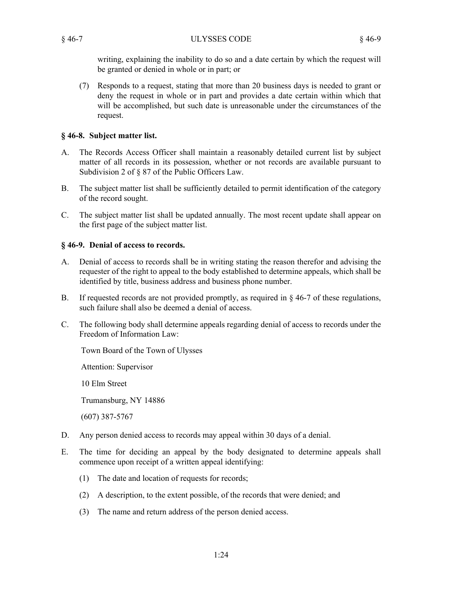writing, explaining the inability to do so and a date certain by which the request will be granted or denied in whole or in part; or

Responds to a request, stating that more than 20 business days is needed to grant or (7) deny the request in whole or in part and provides a date certain within which that will be accomplished, but such date is unreasonable under the circumstances of the request.

## **§ 46-8. Subject matter list.**

- The Records Access Officer shall maintain a reasonably detailed current list by subject matter of all records in its possession, whether or not records are available pursuant to Subdivision 2 of § 87 of the Public Officers Law. A.
- The subject matter list shall be sufficiently detailed to permit identification of the category of the record sought. B.
- The subject matter list shall be updated annually. The most recent update shall appear on the first page of the subject matter list. C.

# **§ 46-9. Denial of access to records.**

- Denial of access to records shall be in writing stating the reason therefor and advising the requester of the right to appeal to the body established to determine appeals, which shall be identified by title, business address and business phone number. A.
- If requested records are not provided promptly, as required in  $\S$  46-7 of these regulations, such failure shall also be deemed a denial of access. B.
- The following body shall determine appeals regarding denial of access to records under the Freedom of Information Law: C.

Town Board of the Town of Ulysses

Attention: Supervisor

10 Elm Street

Trumansburg, NY 14886

(607) 387-5767

- D. Any person denied access to records may appeal within 30 days of a denial.
- The time for deciding an appeal by the body designated to determine appeals shall commence upon receipt of a written appeal identifying: E.
	- (1) The date and location of requests for records;
	- (2) A description, to the extent possible, of the records that were denied; and
	- (3) The name and return address of the person denied access.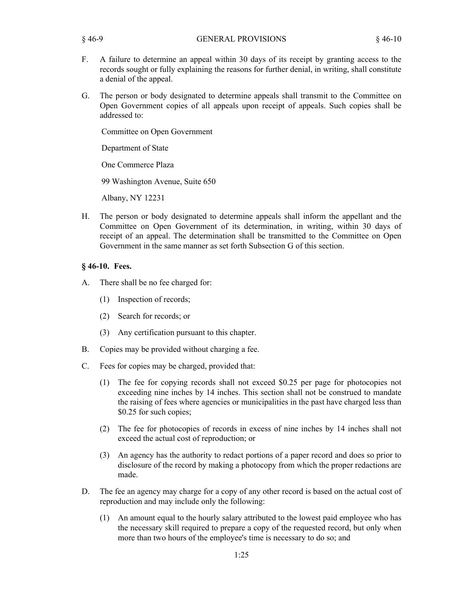- A failure to determine an appeal within 30 days of its receipt by granting access to the records sought or fully explaining the reasons for further denial, in writing, shall constitute a denial of the appeal. F.
- The person or body designated to determine appeals shall transmit to the Committee on Open Government copies of all appeals upon receipt of appeals. Such copies shall be addressed to: G.

Committee on Open Government

Department of State

One Commerce Plaza

99 Washington Avenue, Suite 650

Albany, NY 12231

The person or body designated to determine appeals shall inform the appellant and the Committee on Open Government of its determination, in writing, within 30 days of receipt of an appeal. The determination shall be transmitted to the Committee on Open Government in the same manner as set forth Subsection G of this section. H.

## **§ 46-10. Fees.**

- There shall be no fee charged for: A.
	- (1) Inspection of records;
	- (2) Search for records; or
	- (3) Any certification pursuant to this chapter.
- B. Copies may be provided without charging a fee.
- Fees for copies may be charged, provided that: C.
	- The fee for copying records shall not exceed \$0.25 per page for photocopies not exceeding nine inches by 14 inches. This section shall not be construed to mandate the raising of fees where agencies or municipalities in the past have charged less than \$0.25 for such copies; (1)
	- (2) The fee for photocopies of records in excess of nine inches by 14 inches shall not exceed the actual cost of reproduction; or
	- An agency has the authority to redact portions of a paper record and does so prior to (3) disclosure of the record by making a photocopy from which the proper redactions are made.
- The fee an agency may charge for a copy of any other record is based on the actual cost of reproduction and may include only the following: D.
	- An amount equal to the hourly salary attributed to the lowest paid employee who has the necessary skill required to prepare a copy of the requested record, but only when more than two hours of the employee's time is necessary to do so; and (1)